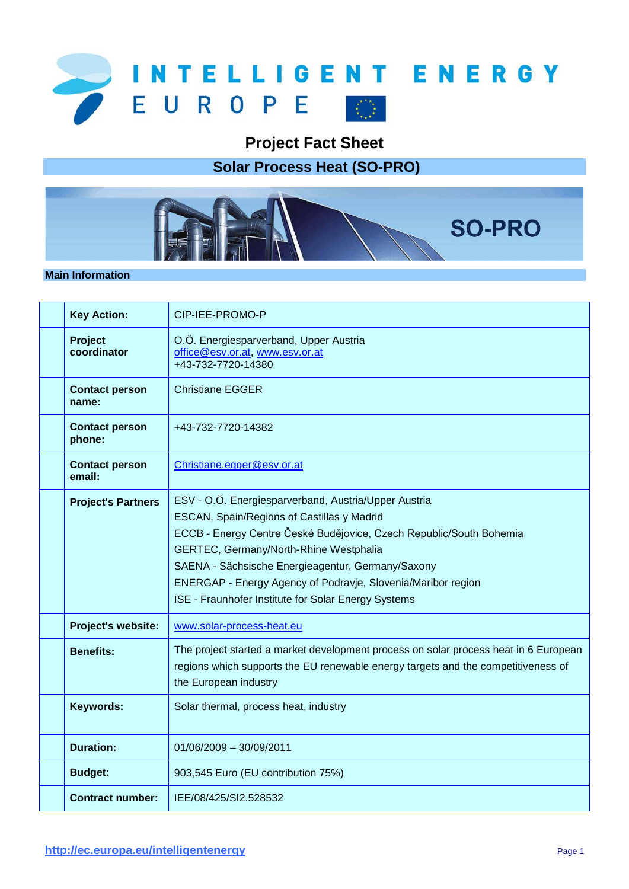

**Project Fact Sheet**

**Solar Process Heat (SO-PRO)**



## **Main Information**

| <b>Key Action:</b>              | CIP-IEE-PROMO-P                                                                                                                                                                                                                                                                                                                                                                                 |
|---------------------------------|-------------------------------------------------------------------------------------------------------------------------------------------------------------------------------------------------------------------------------------------------------------------------------------------------------------------------------------------------------------------------------------------------|
| Project<br>coordinator          | O.Ö. Energiesparverband, Upper Austria<br>office@esv.or.at, www.esv.or.at<br>+43-732-7720-14380                                                                                                                                                                                                                                                                                                 |
| <b>Contact person</b><br>name:  | <b>Christiane EGGER</b>                                                                                                                                                                                                                                                                                                                                                                         |
| <b>Contact person</b><br>phone: | +43-732-7720-14382                                                                                                                                                                                                                                                                                                                                                                              |
| <b>Contact person</b><br>email: | Christiane.egger@esv.or.at                                                                                                                                                                                                                                                                                                                                                                      |
| <b>Project's Partners</b>       | ESV - O.Ö. Energiesparverband, Austria/Upper Austria<br>ESCAN, Spain/Regions of Castillas y Madrid<br>ECCB - Energy Centre České Budějovice, Czech Republic/South Bohemia<br>GERTEC, Germany/North-Rhine Westphalia<br>SAENA - Sächsische Energieagentur, Germany/Saxony<br>ENERGAP - Energy Agency of Podravje, Slovenia/Maribor region<br>ISE - Fraunhofer Institute for Solar Energy Systems |
| Project's website:              | www.solar-process-heat.eu                                                                                                                                                                                                                                                                                                                                                                       |
| <b>Benefits:</b>                | The project started a market development process on solar process heat in 6 European<br>regions which supports the EU renewable energy targets and the competitiveness of<br>the European industry                                                                                                                                                                                              |
| Keywords:                       | Solar thermal, process heat, industry                                                                                                                                                                                                                                                                                                                                                           |
| <b>Duration:</b>                | $01/06/2009 - 30/09/2011$                                                                                                                                                                                                                                                                                                                                                                       |
| <b>Budget:</b>                  | 903,545 Euro (EU contribution 75%)                                                                                                                                                                                                                                                                                                                                                              |
| <b>Contract number:</b>         | IEE/08/425/SI2.528532                                                                                                                                                                                                                                                                                                                                                                           |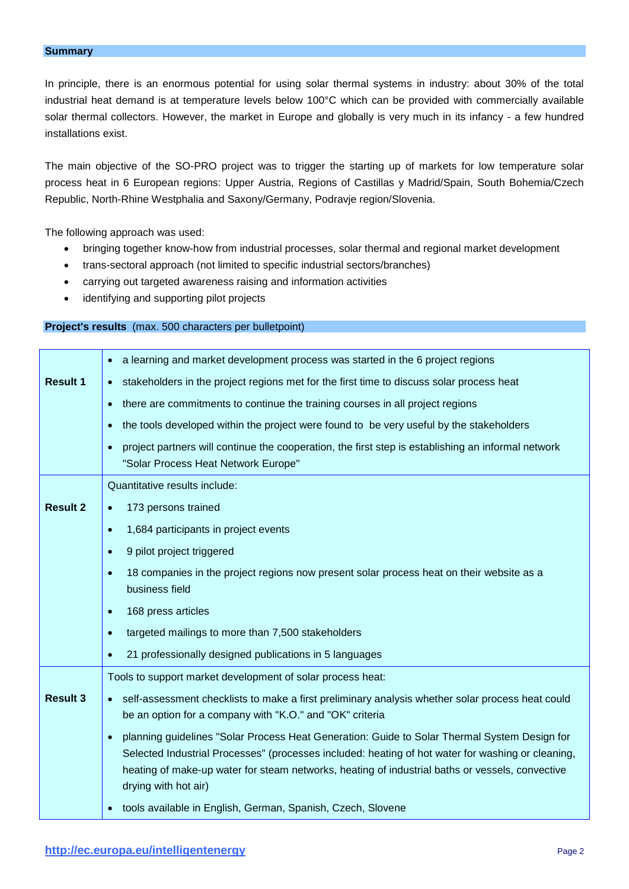In principle, there is an enormous potential for using solar thermal systems in industry: about 30% of the total industrial heat demand is at temperature levels below 100°C which can be provided with commercially available solar thermal collectors. However, the market in Europe and globally is very much in its infancy - a few hundred installations exist.

The main objective of the SO-PRO project was to trigger the starting up of markets for low temperature solar process heat in 6 European regions: Upper Austria, Regions of Castillas y Madrid/Spain, South Bohemia/Czech Republic, North-Rhine Westphalia and Saxony/Germany, Podravje region/Slovenia.

The following approach was used:

- bringing together know-how from industrial processes, solar thermal and regional market development
- trans-sectoral approach (not limited to specific industrial sectors/branches)
- carrying out targeted awareness raising and information activities
- identifying and supporting pilot projects

## **Project's results** (max. 500 characters per bulletpoint)

|                 | a learning and market development process was started in the 6 project regions                                                                                                                                                                                                                                               |
|-----------------|------------------------------------------------------------------------------------------------------------------------------------------------------------------------------------------------------------------------------------------------------------------------------------------------------------------------------|
| <b>Result 1</b> | stakeholders in the project regions met for the first time to discuss solar process heat                                                                                                                                                                                                                                     |
|                 | there are commitments to continue the training courses in all project regions                                                                                                                                                                                                                                                |
|                 | the tools developed within the project were found to be very useful by the stakeholders                                                                                                                                                                                                                                      |
|                 | project partners will continue the cooperation, the first step is establishing an informal network<br>"Solar Process Heat Network Europe"                                                                                                                                                                                    |
|                 | Quantitative results include:                                                                                                                                                                                                                                                                                                |
| <b>Result 2</b> | 173 persons trained                                                                                                                                                                                                                                                                                                          |
|                 | 1,684 participants in project events                                                                                                                                                                                                                                                                                         |
|                 | 9 pilot project triggered                                                                                                                                                                                                                                                                                                    |
|                 | 18 companies in the project regions now present solar process heat on their website as a<br>business field                                                                                                                                                                                                                   |
|                 | 168 press articles                                                                                                                                                                                                                                                                                                           |
|                 | targeted mailings to more than 7,500 stakeholders                                                                                                                                                                                                                                                                            |
|                 | 21 professionally designed publications in 5 languages                                                                                                                                                                                                                                                                       |
|                 | Tools to support market development of solar process heat:                                                                                                                                                                                                                                                                   |
| <b>Result 3</b> | self-assessment checklists to make a first preliminary analysis whether solar process heat could<br>be an option for a company with "K.O." and "OK" criteria                                                                                                                                                                 |
|                 | planning guidelines "Solar Process Heat Generation: Guide to Solar Thermal System Design for<br>Selected Industrial Processes" (processes included: heating of hot water for washing or cleaning,<br>heating of make-up water for steam networks, heating of industrial baths or vessels, convective<br>drying with hot air) |
|                 | tools available in English, German, Spanish, Czech, Slovene                                                                                                                                                                                                                                                                  |